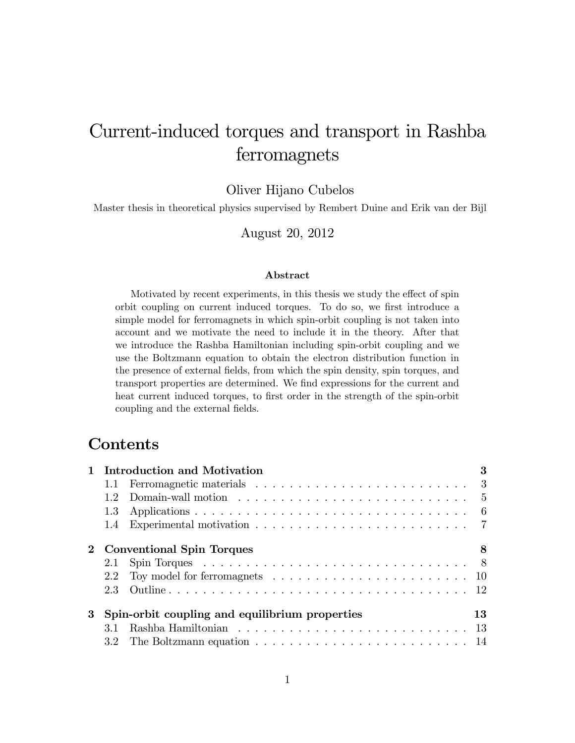# Current-induced torques and transport in Rashba ferromagnets

Oliver Hijano Cubelos

Master thesis in theoretical physics supervised by Rembert Duine and Erik van der Bijl

August 20, 2012

#### Abstract

Motivated by recent experiments, in this thesis we study the effect of spin orbit coupling on current induced torques. To do so, we first introduce a simple model for ferromagnets in which spin-orbit coupling is not taken into account and we motivate the need to include it in the theory. After that we introduce the Rashba Hamiltonian including spin-orbit coupling and we use the Boltzmann equation to obtain the electron distribution function in the presence of external fields, from which the spin density, spin torques, and transport properties are determined. We find expressions for the current and heat current induced torques, to first order in the strength of the spin-orbit coupling and the external fields.

### Contents

|   |                                                      | Introduction and Motivation                                                                    | 3 |  |  |
|---|------------------------------------------------------|------------------------------------------------------------------------------------------------|---|--|--|
|   |                                                      |                                                                                                |   |  |  |
|   | $12^{\circ}$                                         |                                                                                                |   |  |  |
|   | 1.3 <sup>°</sup>                                     |                                                                                                |   |  |  |
|   |                                                      |                                                                                                |   |  |  |
|   |                                                      | 2 Conventional Spin Torques                                                                    | 8 |  |  |
|   |                                                      |                                                                                                |   |  |  |
|   | 2.2                                                  | Toy model for ferromagnets $\ldots \ldots \ldots \ldots \ldots \ldots \ldots \ldots \ldots 10$ |   |  |  |
|   | 2.3                                                  |                                                                                                |   |  |  |
| 3 | Spin-orbit coupling and equilibrium properties<br>13 |                                                                                                |   |  |  |
|   |                                                      |                                                                                                |   |  |  |
|   | 3.2                                                  |                                                                                                |   |  |  |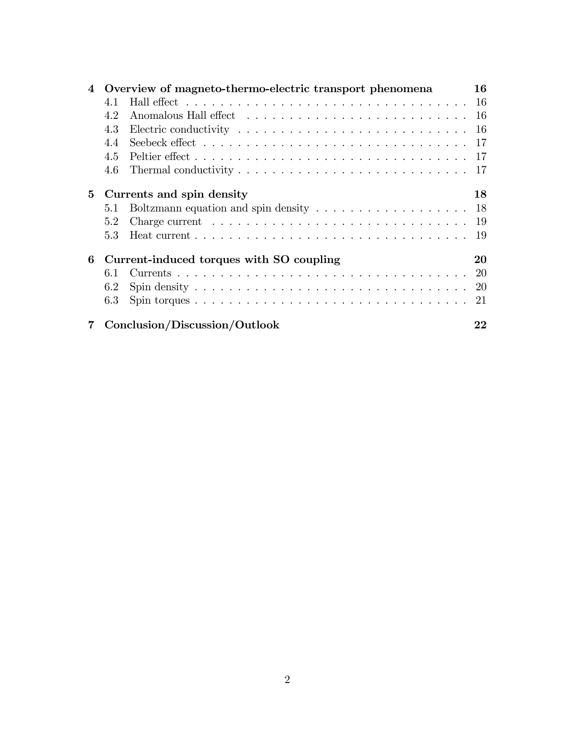|   |                                          | 4 Overview of magneto-thermo-electric transport phenomena                                | 16 |  |
|---|------------------------------------------|------------------------------------------------------------------------------------------|----|--|
|   | 41                                       |                                                                                          |    |  |
|   | 4.2                                      |                                                                                          |    |  |
|   | 4.3                                      |                                                                                          |    |  |
|   | 4.4                                      |                                                                                          |    |  |
|   | 4.5                                      |                                                                                          |    |  |
|   | 4.6                                      |                                                                                          |    |  |
| 5 | Currents and spin density                |                                                                                          |    |  |
|   | 5.1                                      | Boltzmann equation and spin density $\dots \dots \dots \dots \dots \dots \dots \dots$ 18 |    |  |
|   | 5.2                                      | Charge current $\ldots \ldots \ldots \ldots \ldots \ldots \ldots \ldots \ldots \ldots$   |    |  |
|   | 5.3                                      |                                                                                          |    |  |
| 6 | Current-induced torques with SO coupling |                                                                                          |    |  |
|   | 61                                       |                                                                                          |    |  |
|   | 6.2                                      |                                                                                          |    |  |
|   | 6.3                                      |                                                                                          |    |  |
|   |                                          | Conclusion/Discussion/Outlook                                                            | 22 |  |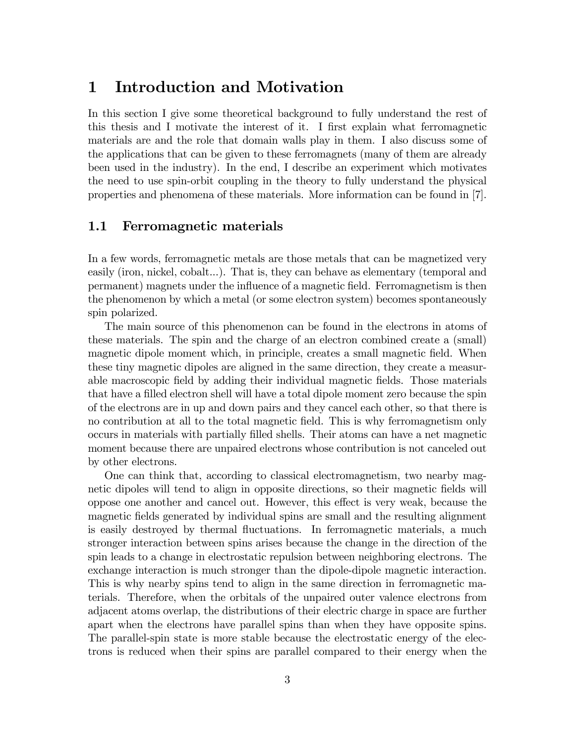### 1 Introduction and Motivation

In this section I give some theoretical background to fully understand the rest of this thesis and I motivate the interest of it. I first explain what ferromagnetic materials are and the role that domain walls play in them. I also discuss some of the applications that can be given to these ferromagnets (many of them are already been used in the industry). In the end, I describe an experiment which motivates the need to use spin-orbit coupling in the theory to fully understand the physical properties and phenomena of these materials. More information can be found in [7].

#### 1.1 Ferromagnetic materials

In a few words, ferromagnetic metals are those metals that can be magnetized very easily (iron, nickel, cobalt...). That is, they can behave as elementary (temporal and permanent) magnets under the ináuence of a magnetic Öeld. Ferromagnetism is then the phenomenon by which a metal (or some electron system) becomes spontaneously spin polarized.

The main source of this phenomenon can be found in the electrons in atoms of these materials. The spin and the charge of an electron combined create a (small) magnetic dipole moment which, in principle, creates a small magnetic field. When these tiny magnetic dipoles are aligned in the same direction, they create a measurable macroscopic field by adding their individual magnetic fields. Those materials that have a filled electron shell will have a total dipole moment zero because the spin of the electrons are in up and down pairs and they cancel each other, so that there is no contribution at all to the total magnetic Öeld. This is why ferromagnetism only occurs in materials with partially Ölled shells. Their atoms can have a net magnetic moment because there are unpaired electrons whose contribution is not canceled out by other electrons.

One can think that, according to classical electromagnetism, two nearby magnetic dipoles will tend to align in opposite directions, so their magnetic fields will oppose one another and cancel out. However, this effect is very weak, because the magnetic fields generated by individual spins are small and the resulting alignment is easily destroyed by thermal fluctuations. In ferromagnetic materials, a much stronger interaction between spins arises because the change in the direction of the spin leads to a change in electrostatic repulsion between neighboring electrons. The exchange interaction is much stronger than the dipole-dipole magnetic interaction. This is why nearby spins tend to align in the same direction in ferromagnetic materials. Therefore, when the orbitals of the unpaired outer valence electrons from adjacent atoms overlap, the distributions of their electric charge in space are further apart when the electrons have parallel spins than when they have opposite spins. The parallel-spin state is more stable because the electrostatic energy of the electrons is reduced when their spins are parallel compared to their energy when the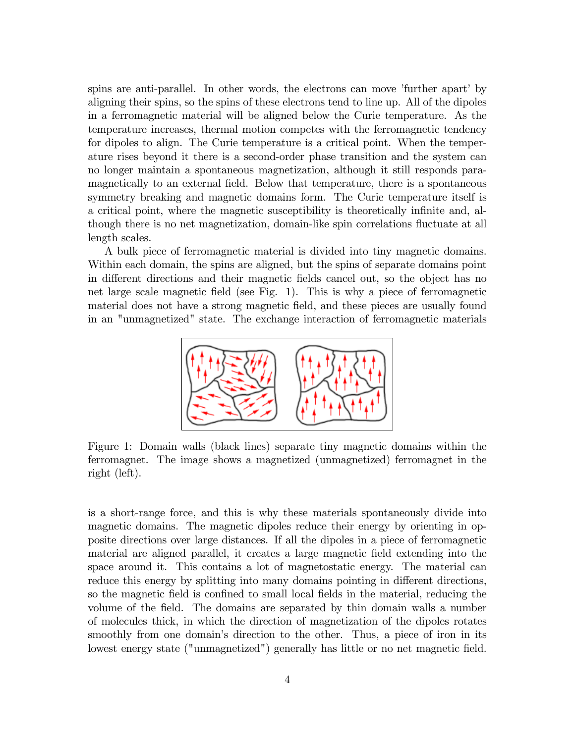spins are anti-parallel. In other words, the electrons can move 'further apart' by aligning their spins, so the spins of these electrons tend to line up. All of the dipoles in a ferromagnetic material will be aligned below the Curie temperature. As the temperature increases, thermal motion competes with the ferromagnetic tendency for dipoles to align. The Curie temperature is a critical point. When the temperature rises beyond it there is a second-order phase transition and the system can no longer maintain a spontaneous magnetization, although it still responds paramagnetically to an external field. Below that temperature, there is a spontaneous symmetry breaking and magnetic domains form. The Curie temperature itself is a critical point, where the magnetic susceptibility is theoretically infinite and, although there is no net magnetization, domain-like spin correlations fluctuate at all length scales.

A bulk piece of ferromagnetic material is divided into tiny magnetic domains. Within each domain, the spins are aligned, but the spins of separate domains point in different directions and their magnetic fields cancel out, so the object has no net large scale magnetic field (see Fig. 1). This is why a piece of ferromagnetic material does not have a strong magnetic Öeld, and these pieces are usually found in an "unmagnetized" state. The exchange interaction of ferromagnetic materials



Figure 1: Domain walls (black lines) separate tiny magnetic domains within the ferromagnet. The image shows a magnetized (unmagnetized) ferromagnet in the right (left).

is a short-range force, and this is why these materials spontaneously divide into magnetic domains. The magnetic dipoles reduce their energy by orienting in opposite directions over large distances. If all the dipoles in a piece of ferromagnetic material are aligned parallel, it creates a large magnetic Öeld extending into the space around it. This contains a lot of magnetostatic energy. The material can reduce this energy by splitting into many domains pointing in different directions, so the magnetic field is confined to small local fields in the material, reducing the volume of the Öeld. The domains are separated by thin domain walls a number of molecules thick, in which the direction of magnetization of the dipoles rotates smoothly from one domain's direction to the other. Thus, a piece of iron in its lowest energy state ("unmagnetized") generally has little or no net magnetic field.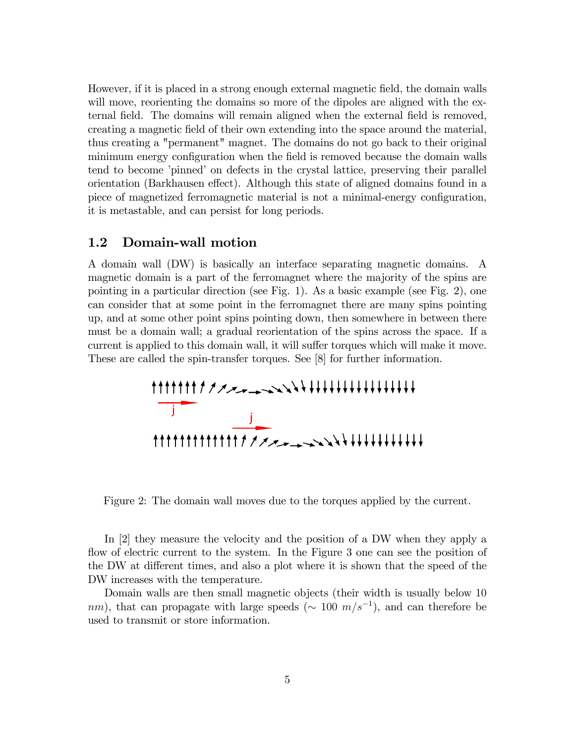However, if it is placed in a strong enough external magnetic Öeld, the domain walls will move, reorienting the domains so more of the dipoles are aligned with the external field. The domains will remain aligned when the external field is removed, creating a magnetic Öeld of their own extending into the space around the material, thus creating a "permanent" magnet. The domains do not go back to their original minimum energy configuration when the field is removed because the domain walls tend to become 'pinned' on defects in the crystal lattice, preserving their parallel orientation (Barkhausen effect). Although this state of aligned domains found in a piece of magnetized ferromagnetic material is not a minimal-energy configuration, it is metastable, and can persist for long periods.

#### 1.2 Domain-wall motion

A domain wall (DW) is basically an interface separating magnetic domains. A magnetic domain is a part of the ferromagnet where the majority of the spins are pointing in a particular direction (see Fig. 1). As a basic example (see Fig. 2), one can consider that at some point in the ferromagnet there are many spins pointing up, and at some other point spins pointing down, then somewhere in between there must be a domain wall; a gradual reorientation of the spins across the space. If a current is applied to this domain wall, it will suffer torques which will make it move. These are called the spin-transfer torques. See [8] for further information.



Figure 2: The domain wall moves due to the torques applied by the current.

In [2] they measure the velocity and the position of a DW when they apply a flow of electric current to the system. In the Figure 3 one can see the position of the DW at different times, and also a plot where it is shown that the speed of the DW increases with the temperature.

Domain walls are then small magnetic objects (their width is usually below 10 nm), that can propagate with large speeds ( $\sim 100 \, m/s^{-1}$ ), and can therefore be used to transmit or store information.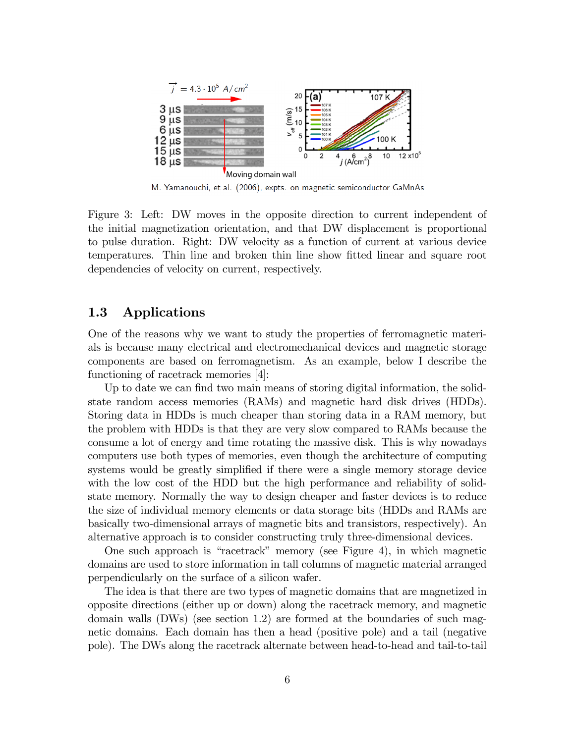

M. Yamanouchi, et al. (2006), expts. on magnetic semiconductor GaMnAs

Figure 3: Left: DW moves in the opposite direction to current independent of the initial magnetization orientation, and that DW displacement is proportional to pulse duration. Right: DW velocity as a function of current at various device temperatures. Thin line and broken thin line show Ötted linear and square root dependencies of velocity on current, respectively.

#### 1.3 Applications

One of the reasons why we want to study the properties of ferromagnetic materials is because many electrical and electromechanical devices and magnetic storage components are based on ferromagnetism. As an example, below I describe the functioning of racetrack memories [4]:

Up to date we can find two main means of storing digital information, the solidstate random access memories (RAMs) and magnetic hard disk drives (HDDs). Storing data in HDDs is much cheaper than storing data in a RAM memory, but the problem with HDDs is that they are very slow compared to RAMs because the consume a lot of energy and time rotating the massive disk. This is why nowadays computers use both types of memories, even though the architecture of computing systems would be greatly simplified if there were a single memory storage device with the low cost of the HDD but the high performance and reliability of solidstate memory. Normally the way to design cheaper and faster devices is to reduce the size of individual memory elements or data storage bits (HDDs and RAMs are basically two-dimensional arrays of magnetic bits and transistors, respectively). An alternative approach is to consider constructing truly three-dimensional devices.

One such approach is "racetrack" memory (see Figure 4), in which magnetic domains are used to store information in tall columns of magnetic material arranged perpendicularly on the surface of a silicon wafer.

The idea is that there are two types of magnetic domains that are magnetized in opposite directions (either up or down) along the racetrack memory, and magnetic domain walls (DWs) (see section 1:2) are formed at the boundaries of such magnetic domains. Each domain has then a head (positive pole) and a tail (negative pole). The DWs along the racetrack alternate between head-to-head and tail-to-tail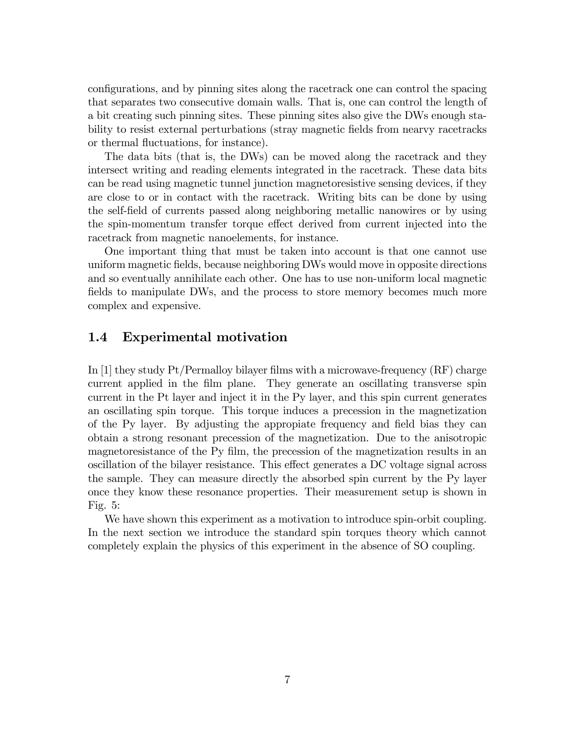configurations, and by pinning sites along the racetrack one can control the spacing that separates two consecutive domain walls. That is, one can control the length of a bit creating such pinning sites. These pinning sites also give the DWs enough stability to resist external perturbations (stray magnetic Öelds from nearvy racetracks or thermal fluctuations, for instance).

The data bits (that is, the DWs) can be moved along the racetrack and they intersect writing and reading elements integrated in the racetrack. These data bits can be read using magnetic tunnel junction magnetoresistive sensing devices, if they are close to or in contact with the racetrack. Writing bits can be done by using the self-Öeld of currents passed along neighboring metallic nanowires or by using the spin-momentum transfer torque effect derived from current injected into the racetrack from magnetic nanoelements, for instance.

One important thing that must be taken into account is that one cannot use uniform magnetic Öelds, because neighboring DWs would move in opposite directions and so eventually annihilate each other. One has to use non-uniform local magnetic fields to manipulate DWs, and the process to store memory becomes much more complex and expensive.

#### 1.4 Experimental motivation

In [1] they study Pt/Permalloy bilayer films with a microwave-frequency  $(RF)$  charge current applied in the film plane. They generate an oscillating transverse spin current in the Pt layer and inject it in the Py layer, and this spin current generates an oscillating spin torque. This torque induces a precession in the magnetization of the Py layer. By adjusting the appropiate frequency and Öeld bias they can obtain a strong resonant precession of the magnetization. Due to the anisotropic magnetoresistance of the Py film, the precession of the magnetization results in an oscillation of the bilayer resistance. This effect generates a DC voltage signal across the sample. They can measure directly the absorbed spin current by the Py layer once they know these resonance properties. Their measurement setup is shown in Fig. 5:

We have shown this experiment as a motivation to introduce spin-orbit coupling. In the next section we introduce the standard spin torques theory which cannot completely explain the physics of this experiment in the absence of SO coupling.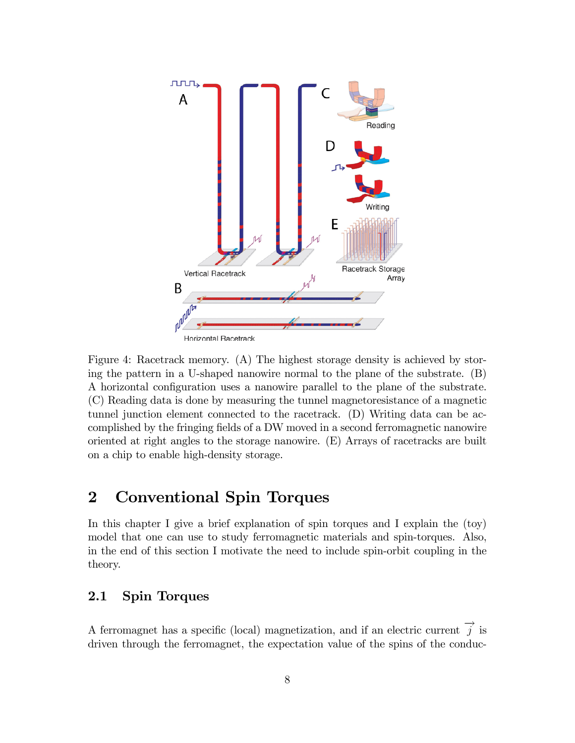

Figure 4: Racetrack memory. (A) The highest storage density is achieved by storing the pattern in a U-shaped nanowire normal to the plane of the substrate. (B) A horizontal configuration uses a nanowire parallel to the plane of the substrate. (C) Reading data is done by measuring the tunnel magnetoresistance of a magnetic tunnel junction element connected to the racetrack. (D) Writing data can be accomplished by the fringing fields of a DW moved in a second ferromagnetic nanowire oriented at right angles to the storage nanowire. (E) Arrays of racetracks are built on a chip to enable high-density storage.

# 2 Conventional Spin Torques

In this chapter I give a brief explanation of spin torques and I explain the (toy) model that one can use to study ferromagnetic materials and spin-torques. Also, in the end of this section I motivate the need to include spin-orbit coupling in the theory.

#### 2.1 Spin Torques

A ferromagnet has a specific (local) magnetization, and if an electric current  $\vec{j}$  is driven through the ferromagnet, the expectation value of the spins of the conduc-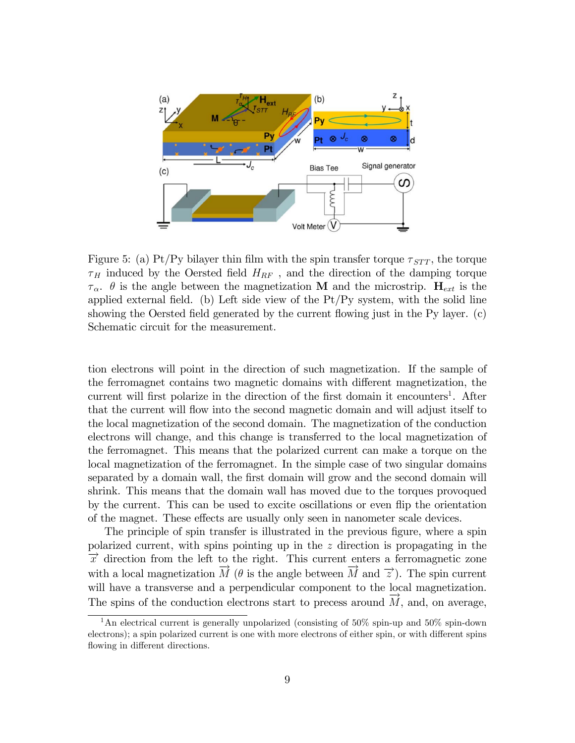

Figure 5: (a) Pt/Py bilayer thin film with the spin transfer torque  $\tau_{STT}$ , the torque  $\tau_H$  induced by the Oersted field  $H_{RF}$ , and the direction of the damping torque  $\tau_{\alpha}$ .  $\theta$  is the angle between the magnetization M and the microstrip.  $H_{ext}$  is the applied external field. (b) Left side view of the  $Pt/Py$  system, with the solid line showing the Oersted field generated by the current flowing just in the Py layer.  $(c)$ Schematic circuit for the measurement.

tion electrons will point in the direction of such magnetization. If the sample of the ferromagnet contains two magnetic domains with different magnetization, the current will first polarize in the direction of the first domain it encounters<sup>1</sup>. After that the current will flow into the second magnetic domain and will adjust itself to the local magnetization of the second domain. The magnetization of the conduction electrons will change, and this change is transferred to the local magnetization of the ferromagnet. This means that the polarized current can make a torque on the local magnetization of the ferromagnet. In the simple case of two singular domains separated by a domain wall, the first domain will grow and the second domain will shrink. This means that the domain wall has moved due to the torques provoqued by the current. This can be used to excite oscillations or even áip the orientation of the magnet. These effects are usually only seen in nanometer scale devices.

The principle of spin transfer is illustrated in the previous figure, where a spin polarized current, with spins pointing up in the z direction is propagating in the  $\vec{x}$  direction from the left to the right. This current enters a ferromagnetic zone with a local magnetization  $\overline{M}$  ( $\theta$  is the angle between  $\overline{M}$  and  $\overline{z}$ ). The spin current will have a transverse and a perpendicular component to the local magnetization. The spins of the conduction electrons start to precess around  $\overline{M}$ , and, on average,

<sup>&</sup>lt;sup>1</sup>An electrical current is generally unpolarized (consisting of 50% spin-up and 50% spin-down electrons); a spin polarized current is one with more electrons of either spin, or with different spins flowing in different directions.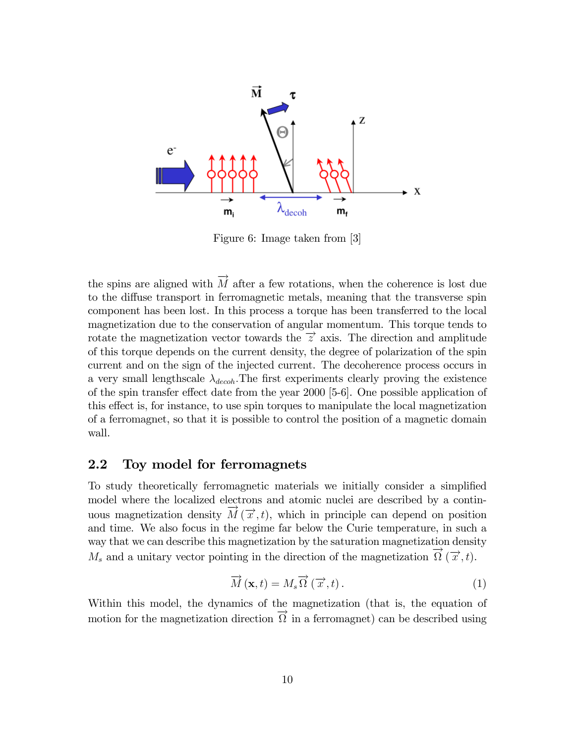

Figure 6: Image taken from [3]

the spins are aligned with  $\overrightarrow{M}$  after a few rotations, when the coherence is lost due to the diffuse transport in ferromagnetic metals, meaning that the transverse spin component has been lost. In this process a torque has been transferred to the local magnetization due to the conservation of angular momentum. This torque tends to rotate the magnetization vector towards the  $\vec{z}$  axis. The direction and amplitude of this torque depends on the current density, the degree of polarization of the spin current and on the sign of the injected current. The decoherence process occurs in a very small lengthscale  $\lambda_{decoh}$ . The first experiments clearly proving the existence of the spin transfer effect date from the year  $2000$  [5-6]. One possible application of this effect is, for instance, to use spin torques to manipulate the local magnetization of a ferromagnet, so that it is possible to control the position of a magnetic domain wall.

#### 2.2 Toy model for ferromagnets

To study theoretically ferromagnetic materials we initially consider a simplified model where the localized electrons and atomic nuclei are described by a continuous magnetization density  $\overrightarrow{M}(\overrightarrow{x},t)$ , which in principle can depend on position and time. We also focus in the regime far below the Curie temperature, in such a way that we can describe this magnetization by the saturation magnetization density  $M_s$  and a unitary vector pointing in the direction of the magnetization  $\overrightarrow{\Omega}(\overrightarrow{x},t)$ .

$$
\overrightarrow{M}(\mathbf{x},t) = M_s \overrightarrow{\Omega}(\overrightarrow{x},t).
$$
 (1)

Within this model, the dynamics of the magnetization (that is, the equation of motion for the magnetization direction  $\overrightarrow{\Omega}$  in a ferromagnet) can be described using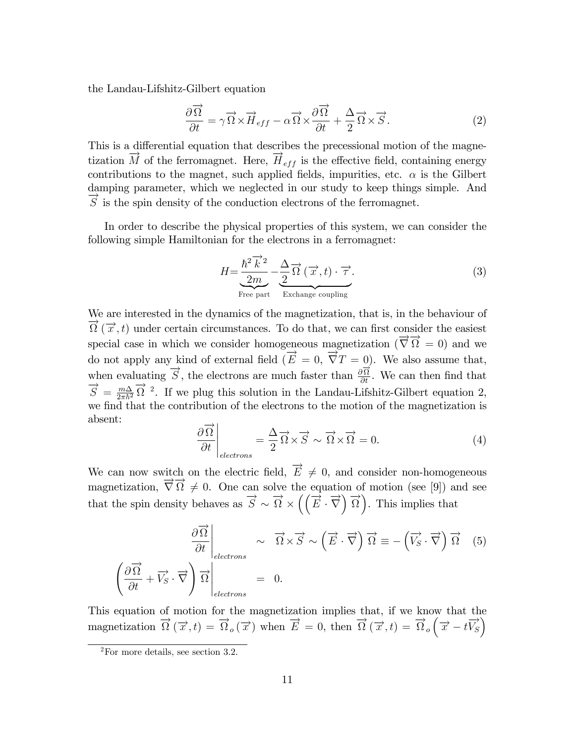the Landau-Lifshitz-Gilbert equation

$$
\frac{\partial \overrightarrow{\Omega}}{\partial t} = \gamma \overrightarrow{\Omega} \times \overrightarrow{H}_{eff} - \alpha \overrightarrow{\Omega} \times \frac{\partial \overrightarrow{\Omega}}{\partial t} + \frac{\Delta}{2} \overrightarrow{\Omega} \times \overrightarrow{S}.
$$
 (2)

This is a differential equation that describes the precessional motion of the magnetization  $\overrightarrow{M}$  of the ferromagnet. Here,  $\overrightarrow{H}_{eff}$  is the effective field, containing energy contributions to the magnet, such applied fields, impurities, etc.  $\alpha$  is the Gilbert damping parameter, which we neglected in our study to keep things simple. And  $\overrightarrow{S}$  is the spin density of the conduction electrons of the ferromagnet.

In order to describe the physical properties of this system, we can consider the following simple Hamiltonian for the electrons in a ferromagnet:

$$
H = \underbrace{\frac{\hbar^2 \overrightarrow{k}^2}{2m}}_{\text{Free part}} - \underbrace{\frac{\Delta}{2} \overrightarrow{\Omega} (\overrightarrow{x}, t) \cdot \overrightarrow{\tau}}_{\text{Exchange coupling}}.
$$
 (3)

We are interested in the dynamics of the magnetization, that is, in the behaviour of  $\overrightarrow{\Omega}$  ( $\overrightarrow{x}$ , t) under certain circumstances. To do that, we can first consider the easiest special case in which we consider homogeneous magnetization  $\left(\vec{\nabla}\,\vec{\Omega}\right)=0$  and we do not apply any kind of external field  $(\overrightarrow{E} = 0, \overrightarrow{\nabla}T = 0)$ . We also assume that, when evaluating  $\overrightarrow{S}$ , the electrons are much faster than  $\frac{\partial \overrightarrow{\Omega}}{\partial t}$ . We can then find that  $\overrightarrow{S} = \frac{m\Delta}{2\pi\hbar^2}$  $\frac{m\Delta}{2\pi\hbar^2}\overrightarrow{\Omega}^2$ . If we plug this solution in the Landau-Lifshitz-Gilbert equation 2, we find that the contribution of the electrons to the motion of the magnetization is absent:

$$
\left. \frac{\partial \overrightarrow{\Omega}}{\partial t} \right|_{electrons} = \frac{\Delta}{2} \overrightarrow{\Omega} \times \overrightarrow{S} \sim \overrightarrow{\Omega} \times \overrightarrow{\Omega} = 0. \tag{4}
$$

We can now switch on the electric field,  $\overrightarrow{E} \neq 0$ , and consider non-homogeneous magnetization,  $\overrightarrow{\nabla} \overrightarrow{\Omega} \neq 0$ . One can solve the equation of motion (see [9]) and see that the spin density behaves as  $\overrightarrow{S} \sim \overrightarrow{\Omega} \times ((\overrightarrow{E} \cdot \overrightarrow{\nabla}) \overrightarrow{\Omega})$ . This implies that

$$
\frac{\partial \overrightarrow{\Omega}}{\partial t}\Big|_{electrons} \sim \overrightarrow{\Omega} \times \overrightarrow{S} \sim (\overrightarrow{E} \cdot \overrightarrow{\nabla}) \overrightarrow{\Omega} \equiv -(\overrightarrow{V_S} \cdot \overrightarrow{\nabla}) \overrightarrow{\Omega} \quad (5)
$$

$$
\left(\frac{\partial \overrightarrow{\Omega}}{\partial t} + \overrightarrow{V_S} \cdot \overrightarrow{\nabla}\right) \overrightarrow{\Omega}\Big|_{electrons} = 0.
$$

This equation of motion for the magnetization implies that, if we know that the magnetization  $\overrightarrow{\Omega}$  ( $\overrightarrow{x}$ , t) =  $\overrightarrow{\Omega}$  o ( $\overrightarrow{x}$ ) when  $\overrightarrow{E}$  = 0, then  $\overrightarrow{\Omega}$  ( $\overrightarrow{x}$ , t) =  $\overrightarrow{\Omega}$  o ( $\overrightarrow{x}$  - t $\overrightarrow{V}_{S}$ )

 $2^2$ For more details, see section 3.2.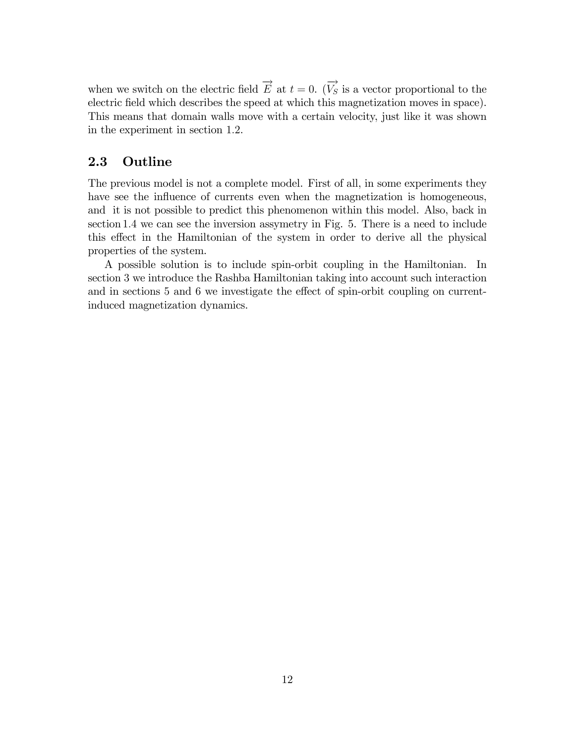when we switch on the electric field  $\overrightarrow{E}$  at  $t = 0$ . ( $\overrightarrow{V_S}$  is a vector proportional to the electric field which describes the speed at which this magnetization moves in space). This means that domain walls move with a certain velocity, just like it was shown in the experiment in section 1.2.

#### 2.3 Outline

The previous model is not a complete model. First of all, in some experiments they have see the influence of currents even when the magnetization is homogeneous, and it is not possible to predict this phenomenon within this model. Also, back in section 1.4 we can see the inversion assymetry in Fig. 5. There is a need to include this effect in the Hamiltonian of the system in order to derive all the physical properties of the system.

A possible solution is to include spin-orbit coupling in the Hamiltonian. In section 3 we introduce the Rashba Hamiltonian taking into account such interaction and in sections 5 and 6 we investigate the effect of spin-orbit coupling on currentinduced magnetization dynamics.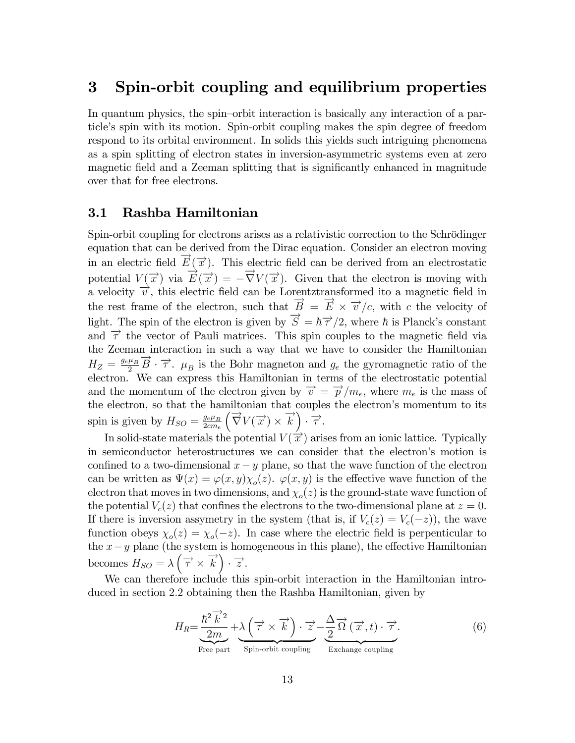### 3 Spin-orbit coupling and equilibrium properties

In quantum physics, the spin–orbit interaction is basically any interaction of a particleís spin with its motion. Spin-orbit coupling makes the spin degree of freedom respond to its orbital environment. In solids this yields such intriguing phenomena as a spin splitting of electron states in inversion-asymmetric systems even at zero magnetic field and a Zeeman splitting that is significantly enhanced in magnitude over that for free electrons.

#### 3.1 Rashba Hamiltonian

Spin-orbit coupling for electrons arises as a relativistic correction to the Schrödinger equation that can be derived from the Dirac equation. Consider an electron moving in an electric field  $\overrightarrow{E}(\overrightarrow{x})$ . This electric field can be derived from an electrostatic potential  $V(\vec{x})$  via  $\vec{E}(\vec{x}) = -\vec{\nabla}V(\vec{x})$ . Given that the electron is moving with a velocity  $\vec{v}$ , this electric field can be Lorentztransformed ito a magnetic field in the rest frame of the electron, such that  $\overrightarrow{B} = \overrightarrow{E} \times \overrightarrow{v}/c$ , with c the velocity of light. The spin of the electron is given by  $\overrightarrow{S} = \hbar \overrightarrow{\tau}/2$ , where  $\hbar$  is Planck's constant and  $\vec{\tau}$  the vector of Pauli matrices. This spin couples to the magnetic field via the Zeeman interaction in such a way that we have to consider the Hamiltonian  $H_Z = \frac{g_e \mu_B}{2}$  $\frac{\mu_B}{2} \overrightarrow{B} \cdot \overrightarrow{\tau}$ .  $\mu_B$  is the Bohr magneton and  $g_e$  the gyromagnetic ratio of the electron. We can express this Hamiltonian in terms of the electrostatic potential and the momentum of the electron given by  $\overrightarrow{v} = \overrightarrow{p}/m_e$ , where  $m_e$  is the mass of the electron, so that the hamiltonian that couples the electron's momentum to its spin is given by  $H_{SO} = \frac{g_e \mu_B}{2cm_e}$  $\frac{g_e\mu_B}{2cm_e}\left(\vec{\nabla}V(\vec{x})\times\vec{k}\right)$  $\cdot \overrightarrow{\tau}$ .

In solid-state materials the potential  $V(\vec{x})$  arises from an ionic lattice. Typically in semiconductor heterostructures we can consider that the electron's motion is confined to a two-dimensional  $x - y$  plane, so that the wave function of the electron can be written as  $\Psi(x) = \varphi(x, y)\chi_o(z)$ .  $\varphi(x, y)$  is the effective wave function of the electron that moves in two dimensions, and  $\chi_o(z)$  is the ground-state wave function of the potential  $V_c(z)$  that confines the electrons to the two-dimensional plane at  $z = 0$ . If there is inversion assymetry in the system (that is, if  $V_c(z) = V_c(-z)$ ), the wave function obeys  $\chi_o(z) = \chi_o(-z)$ . In case where the electric field is perpenticular to the  $x-y$  plane (the system is homogeneous in this plane), the effective Hamiltonian becomes  $H_{SO} = \lambda \left(\overrightarrow{\tau} \times \overrightarrow{k}\right)$  $\cdot \overrightarrow{z}$ .

We can therefore include this spin-orbit interaction in the Hamiltonian introduced in section 2:2 obtaining then the Rashba Hamiltonian, given by

$$
H_R = \underbrace{\frac{\hbar^2 \overrightarrow{k}^2}{2m}}_{\text{Free part}} + \underbrace{\lambda \left( \overrightarrow{\tau} \times \overrightarrow{k} \right) \cdot \overrightarrow{z}}_{\text{Spin-orbit coupling}} - \underbrace{\frac{\Delta}{2} \overrightarrow{\Omega} \left( \overrightarrow{x}, t \right) \cdot \overrightarrow{\tau}}_{\text{Exchange coupling}}.
$$
 (6)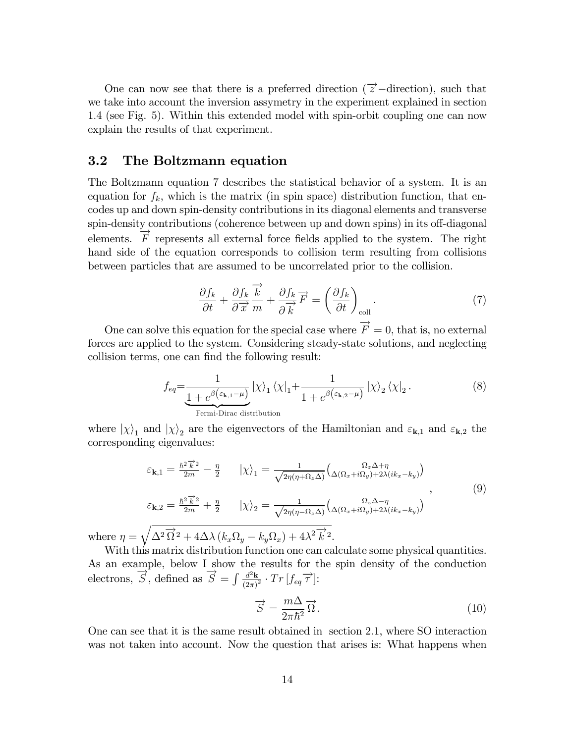One can now see that there is a preferred direction  $(\vec{z} -$ direction), such that we take into account the inversion assymetry in the experiment explained in section 1:4 (see Fig. 5). Within this extended model with spin-orbit coupling one can now explain the results of that experiment.

#### 3.2 The Boltzmann equation

The Boltzmann equation 7 describes the statistical behavior of a system. It is an equation for  $f_k$ , which is the matrix (in spin space) distribution function, that encodes up and down spin-density contributions in its diagonal elements and transverse spin-density contributions (coherence between up and down spins) in its off-diagonal elements.  $\overrightarrow{F}$  represents all external force fields applied to the system. The right hand side of the equation corresponds to collision term resulting from collisions between particles that are assumed to be uncorrelated prior to the collision.

$$
\frac{\partial f_k}{\partial t} + \frac{\partial f_k}{\partial \overrightarrow{x}} \frac{\overrightarrow{k}}{m} + \frac{\partial f_k}{\partial \overrightarrow{k}} \overrightarrow{F} = \left(\frac{\partial f_k}{\partial t}\right)_{\text{coll}}.\tag{7}
$$

One can solve this equation for the special case where  $\overrightarrow{F} = 0$ , that is, no external forces are applied to the system. Considering steady-state solutions, and neglecting collision terms, one can find the following result:

$$
f_{eq} = \frac{1}{\underbrace{1 + e^{\beta(\varepsilon_{\mathbf{k},1} - \mu)}}_{\text{Fermi-Dirac distribution}}} |\chi\rangle_1 \langle \chi|_1 + \frac{1}{1 + e^{\beta(\varepsilon_{\mathbf{k},2} - \mu)}} |\chi\rangle_2 \langle \chi|_2.
$$
 (8)

where  $|\chi\rangle_1$  and  $|\chi\rangle_2$  are the eigenvectors of the Hamiltonian and  $\varepsilon_{\mathbf{k},1}$  and  $\varepsilon_{\mathbf{k},2}$  the corresponding eigenvalues:

$$
\varepsilon_{\mathbf{k},1} = \frac{\hbar^2 \vec{k}^2}{2m} - \frac{\eta}{2} \qquad |\chi\rangle_1 = \frac{1}{\sqrt{2\eta(\eta + \Omega_z \Delta)}} \Big( \frac{\Omega_z \Delta + \eta}{\Delta(\Omega_x + i\Omega_y) + 2\lambda(ik_x - k_y)} \Big)
$$
\n
$$
\varepsilon_{\mathbf{k},2} = \frac{\hbar^2 \vec{k}^2}{2m} + \frac{\eta}{2} \qquad |\chi\rangle_2 = \frac{1}{\sqrt{2\eta(\eta - \Omega_z \Delta)}} \Big( \frac{\Omega_z \Delta - \eta}{\Delta(\Omega_x + i\Omega_y) + 2\lambda(ik_x - k_y)} \Big)
$$
\n
$$
\sqrt{\Delta^2 \vec{\Omega}^2 + 4\Delta\lambda (k_x \Omega_x - k_x \Omega_x) + 4\lambda^2 \vec{k}^2}.
$$
\n(9)

where  $\eta =$  $\sqrt{ }$  $\Delta^2\overrightarrow{\Omega}$  $\sum_{i=1}^{n} 2 + 4\Delta\lambda (k_x \Omega_y - k_y \Omega_x) + 4\lambda^2 \overrightarrow{k}^2.$ 

With this matrix distribution function one can calculate some physical quantities. As an example, below I show the results for the spin density of the conduction electrons,  $\overrightarrow{S}$ , defined as  $\overrightarrow{S} = \int \frac{d^2 \mathbf{k}}{(2\pi)^3}$  $\frac{d^2\mathbf{k}}{(2\pi)^2}\cdot Tr\,[f_{eq}\overrightarrow{\tau}]:$ 

$$
\overrightarrow{S} = \frac{m\Delta}{2\pi\hbar^2} \overrightarrow{\Omega}.
$$
\n(10)

One can see that it is the same result obtained in section 2:1, where SO interaction was not taken into account. Now the question that arises is: What happens when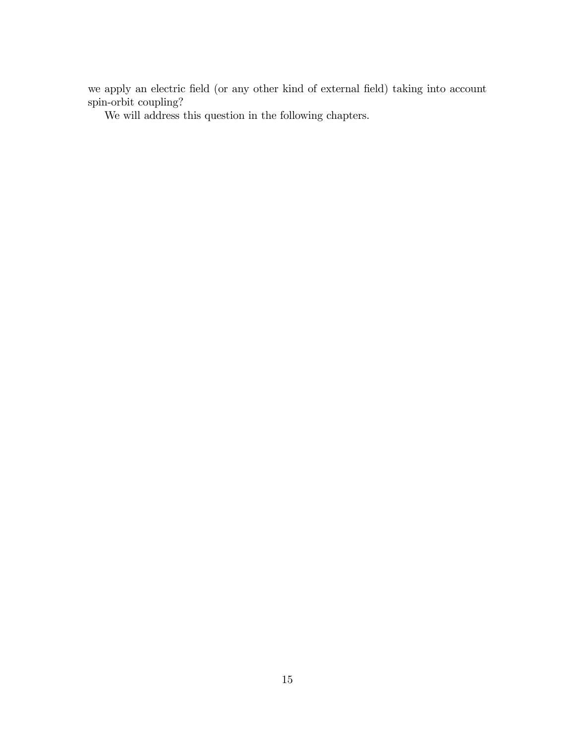we apply an electric field (or any other kind of external field) taking into account spin-orbit coupling?

We will address this question in the following chapters.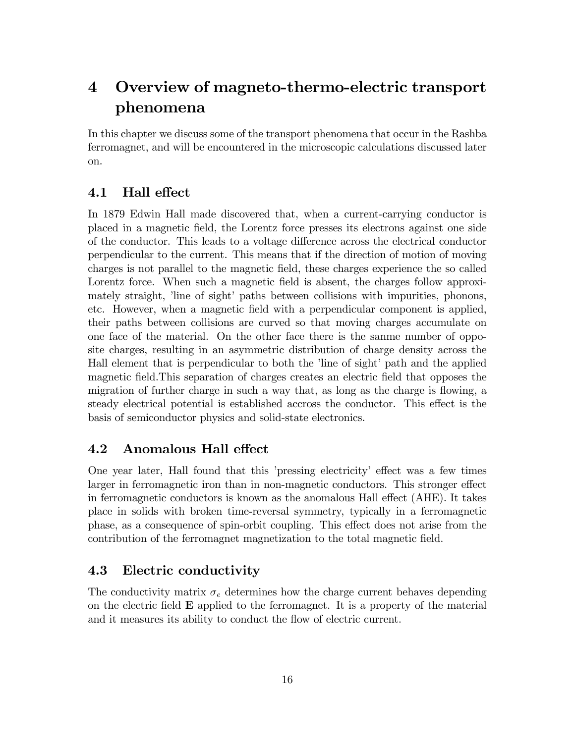# 4 Overview of magneto-thermo-electric transport phenomena

In this chapter we discuss some of the transport phenomena that occur in the Rashba ferromagnet, and will be encountered in the microscopic calculations discussed later on.

#### 4.1 Hall effect

In 1879 Edwin Hall made discovered that, when a current-carrying conductor is placed in a magnetic Öeld, the Lorentz force presses its electrons against one side of the conductor. This leads to a voltage difference across the electrical conductor perpendicular to the current. This means that if the direction of motion of moving charges is not parallel to the magnetic Öeld, these charges experience the so called Lorentz force. When such a magnetic field is absent, the charges follow approximately straight, line of sight' paths between collisions with impurities, phonons, etc. However, when a magnetic field with a perpendicular component is applied, their paths between collisions are curved so that moving charges accumulate on one face of the material. On the other face there is the sanme number of opposite charges, resulting in an asymmetric distribution of charge density across the Hall element that is perpendicular to both the 'line of sight' path and the applied magnetic field. This separation of charges creates an electric field that opposes the migration of further charge in such a way that, as long as the charge is flowing, a steady electrical potential is established accross the conductor. This effect is the basis of semiconductor physics and solid-state electronics.

#### 4.2 Anomalous Hall effect

One year later, Hall found that this 'pressing electricity' effect was a few times larger in ferromagnetic iron than in non-magnetic conductors. This stronger effect in ferromagnetic conductors is known as the anomalous Hall effect (AHE). It takes place in solids with broken time-reversal symmetry, typically in a ferromagnetic phase, as a consequence of spin-orbit coupling. This effect does not arise from the contribution of the ferromagnet magnetization to the total magnetic Öeld.

#### 4.3 Electric conductivity

The conductivity matrix  $\sigma_e$  determines how the charge current behaves depending on the electric field  $E$  applied to the ferromagnet. It is a property of the material and it measures its ability to conduct the flow of electric current.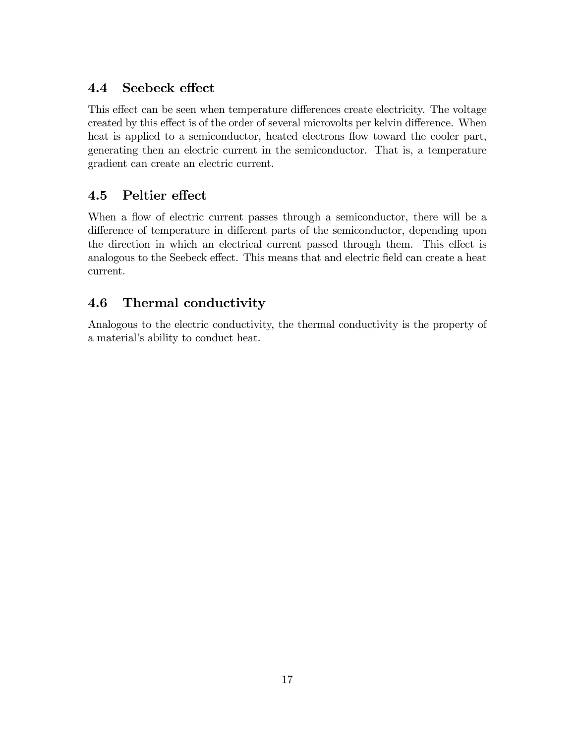### 4.4 Seebeck effect

This effect can be seen when temperature differences create electricity. The voltage created by this effect is of the order of several microvolts per kelvin difference. When heat is applied to a semiconductor, heated electrons flow toward the cooler part, generating then an electric current in the semiconductor. That is, a temperature gradient can create an electric current.

### 4.5 Peltier effect

When a flow of electric current passes through a semiconductor, there will be a difference of temperature in different parts of the semiconductor, depending upon the direction in which an electrical current passed through them. This effect is analogous to the Seebeck effect. This means that and electric field can create a heat current.

### 4.6 Thermal conductivity

Analogous to the electric conductivity, the thermal conductivity is the property of a material's ability to conduct heat.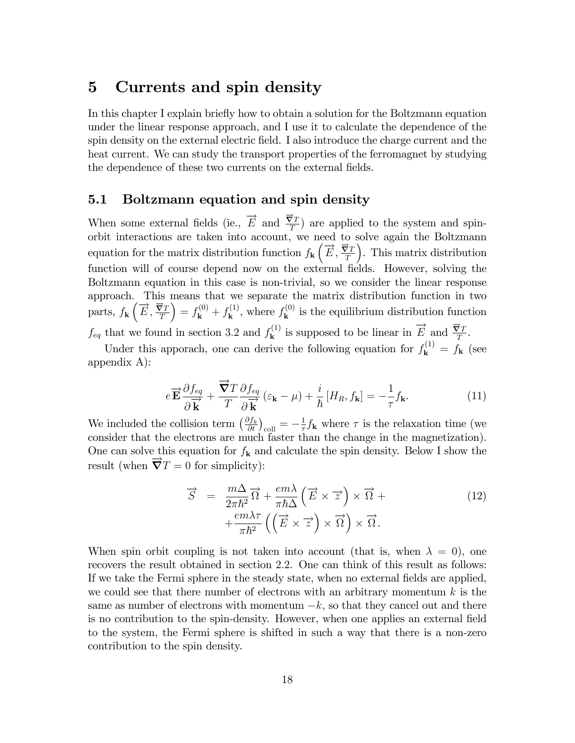### 5 Currents and spin density

In this chapter I explain briefly how to obtain a solution for the Boltzmann equation under the linear response approach, and I use it to calculate the dependence of the spin density on the external electric field. I also introduce the charge current and the heat current. We can study the transport properties of the ferromagnet by studying the dependence of these two currents on the external fields.

#### 5.1 Boltzmann equation and spin density

When some external fields (ie.,  $\vec{E}$  and  $\frac{\vec{\nabla}T}{T}$ ) are applied to the system and spinorbit interactions are taken into account, we need to solve again the Boltzmann equation for the matrix distribution function  $f_{\mathbf{k}}\left(\overrightarrow{E},\frac{\overrightarrow{\nabla}T}{T}\right)$  . This matrix distribution function will of course depend now on the external fields. However, solving the Boltzmann equation in this case is non-trivial, so we consider the linear response approach. This means that we separate the matrix distribution function in two parts,  $f_{\mathbf{k}}\left(\overrightarrow{E},\frac{\overrightarrow{\nabla}T}{T}\right)$  $= f_{\mathbf{k}}^{(0)} + f_{\mathbf{k}}^{(1)}$  $f_{\mathbf{k}}^{(1)}$ , where  $f_{\mathbf{k}}^{(0)}$  $\mathbf{k}^{(0)}$  is the equilibrium distribution function  $f_{eq}$  that we found in section 3.2 and  $f_{\mathbf{k}}^{(1)}$  $\mathbf{k}^{(1)}$  is supposed to be linear in  $\overrightarrow{E}$  and  $\overrightarrow{\frac{\nabla T}{T}}$ .

Under this apporach, one can derive the following equation for  $f_{\mathbf{k}}^{(1)} = f_{\mathbf{k}}$  (see appendix A):

$$
e\overrightarrow{\mathbf{E}}\frac{\partial f_{eq}}{\partial \overrightarrow{\mathbf{k}}} + \frac{\overrightarrow{\nabla}T}{T}\frac{\partial f_{eq}}{\partial \overrightarrow{\mathbf{k}}}(\varepsilon_{\mathbf{k}} - \mu) + \frac{i}{\hbar}[H_R, f_{\mathbf{k}}] = -\frac{1}{\tau}f_{\mathbf{k}}.\tag{11}
$$

We included the collision term  $\left(\frac{\partial f_k}{\partial t}\right)_{\text{coll}} = -\frac{1}{\tau}$  $\frac{1}{\tau}f_{\mathbf{k}}$  where  $\tau$  is the relaxation time (we consider that the electrons are much faster than the change in the magnetization). One can solve this equation for  $f_{\mathbf{k}}$  and calculate the spin density. Below I show the result (when  $\vec{\nabla}T = 0$  for simplicity):

$$
\overrightarrow{S} = \frac{m\Delta}{2\pi\hbar^2} \overrightarrow{\Omega} + \frac{em\lambda}{\pi\hbar\Delta} \left( \overrightarrow{E} \times \overrightarrow{z} \right) \times \overrightarrow{\Omega} + \frac{em\lambda\tau}{\pi\hbar^2} \left( \left( \overrightarrow{E} \times \overrightarrow{z} \right) \times \overrightarrow{\Omega} \right) \times \overrightarrow{\Omega}.
$$
\n(12)

When spin orbit coupling is not taken into account (that is, when  $\lambda = 0$ ), one recovers the result obtained in section 2:2. One can think of this result as follows: If we take the Fermi sphere in the steady state, when no external fields are applied, we could see that there number of electrons with an arbitrary momentum  $k$  is the same as number of electrons with momentum  $-k$ , so that they cancel out and there is no contribution to the spin-density. However, when one applies an external field to the system, the Fermi sphere is shifted in such a way that there is a non-zero contribution to the spin density.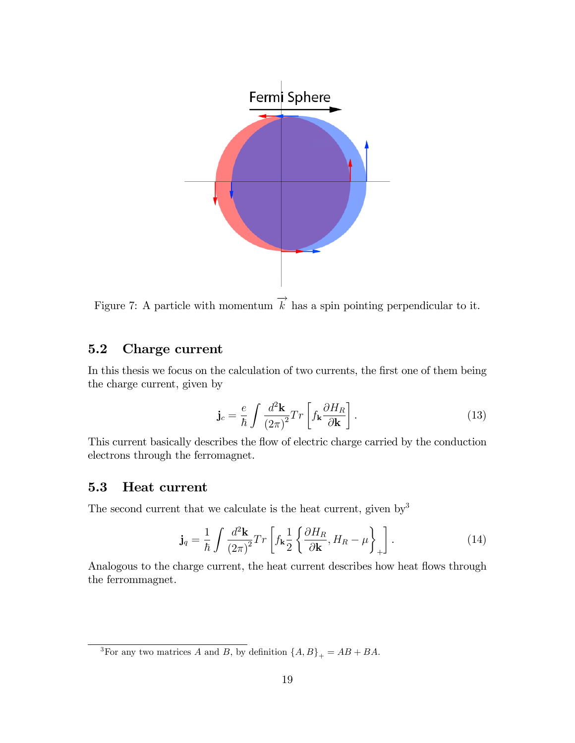

Figure 7: A particle with momentum  $\overrightarrow{k}$  has a spin pointing perpendicular to it.

#### 5.2 Charge current

In this thesis we focus on the calculation of two currents, the first one of them being the charge current, given by

$$
\mathbf{j}_c = \frac{e}{\hbar} \int \frac{d^2 \mathbf{k}}{(2\pi)^2} Tr \left[ f_\mathbf{k} \frac{\partial H_R}{\partial \mathbf{k}} \right]. \tag{13}
$$

This current basically describes the flow of electric charge carried by the conduction electrons through the ferromagnet.

#### 5.3 Heat current

The second current that we calculate is the heat current, given by<sup>3</sup>

$$
\mathbf{j}_q = \frac{1}{\hbar} \int \frac{d^2 \mathbf{k}}{(2\pi)^2} Tr \left[ f_\mathbf{k} \frac{1}{2} \left\{ \frac{\partial H_R}{\partial \mathbf{k}}, H_R - \mu \right\}_+ \right].
$$
 (14)

Analogous to the charge current, the heat current describes how heat flows through the ferrommagnet.

<sup>&</sup>lt;sup>3</sup>For any two matrices A and B, by definition  $\{A, B\}_+ = AB + BA$ .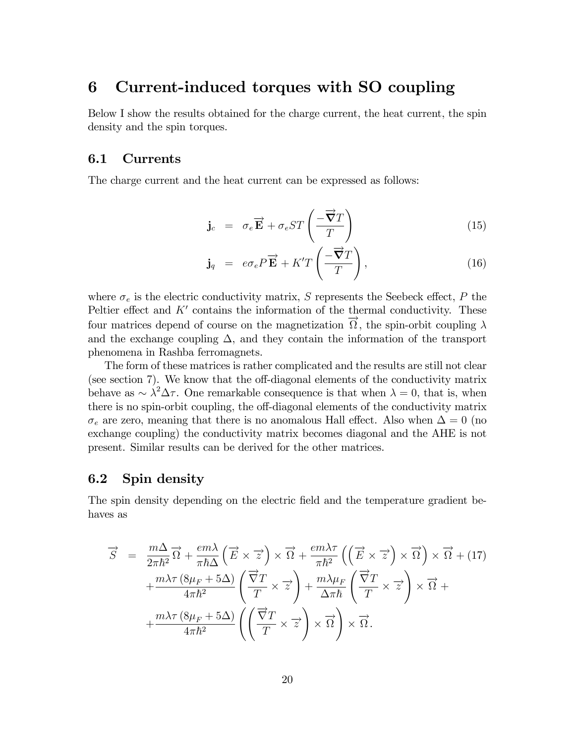### 6 Current-induced torques with SO coupling

Below I show the results obtained for the charge current, the heat current, the spin density and the spin torques.

#### 6.1 Currents

The charge current and the heat current can be expressed as follows:

$$
\mathbf{j}_c = \sigma_e \overrightarrow{\mathbf{E}} + \sigma_e ST\left(\frac{-\overrightarrow{\mathbf{\nabla}}T}{T}\right)
$$
(15)

$$
\mathbf{j}_q = e \sigma_e P \overrightarrow{\mathbf{E}} + K' T \left( \frac{-\overrightarrow{\nabla} T}{T} \right), \qquad (16)
$$

where  $\sigma_e$  is the electric conductivity matrix, S represents the Seebeck effect, P the Peltier effect and  $K'$  contains the information of the thermal conductivity. These four matrices depend of course on the magnetization  $\overrightarrow{\Omega}$ , the spin-orbit coupling  $\lambda$ and the exchange coupling  $\Delta$ , and they contain the information of the transport phenomena in Rashba ferromagnets.

The form of these matrices is rather complicated and the results are still not clear (see section 7). We know that the off-diagonal elements of the conductivity matrix behave as  $\sim \lambda^2 \Delta \tau$ . One remarkable consequence is that when  $\lambda = 0$ , that is, when there is no spin-orbit coupling, the off-diagonal elements of the conductivity matrix  $\sigma_e$  are zero, meaning that there is no anomalous Hall effect. Also when  $\Delta = 0$  (no exchange coupling) the conductivity matrix becomes diagonal and the AHE is not present. Similar results can be derived for the other matrices.

#### 6.2 Spin density

The spin density depending on the electric field and the temperature gradient behaves as

$$
\overrightarrow{S} = \frac{m\Delta}{2\pi\hbar^2} \overrightarrow{\Omega} + \frac{em\lambda}{\pi\hbar\Delta} \left( \overrightarrow{E} \times \overrightarrow{z} \right) \times \overrightarrow{\Omega} + \frac{em\lambda\tau}{\pi\hbar^2} \left( \left( \overrightarrow{E} \times \overrightarrow{z} \right) \times \overrightarrow{\Omega} \right) \times \overrightarrow{\Omega} + (17) \n+ \frac{m\lambda\tau (8\mu_F + 5\Delta)}{4\pi\hbar^2} \left( \frac{\overrightarrow{\nabla}T}{T} \times \overrightarrow{z} \right) + \frac{m\lambda\mu_F}{\Delta\pi\hbar} \left( \frac{\overrightarrow{\nabla}T}{T} \times \overrightarrow{z} \right) \times \overrightarrow{\Omega} + \n+ \frac{m\lambda\tau (8\mu_F + 5\Delta)}{4\pi\hbar^2} \left( \left( \frac{\overrightarrow{\nabla}T}{T} \times \overrightarrow{z} \right) \times \overrightarrow{\Omega} \right) \times \overrightarrow{\Omega}.
$$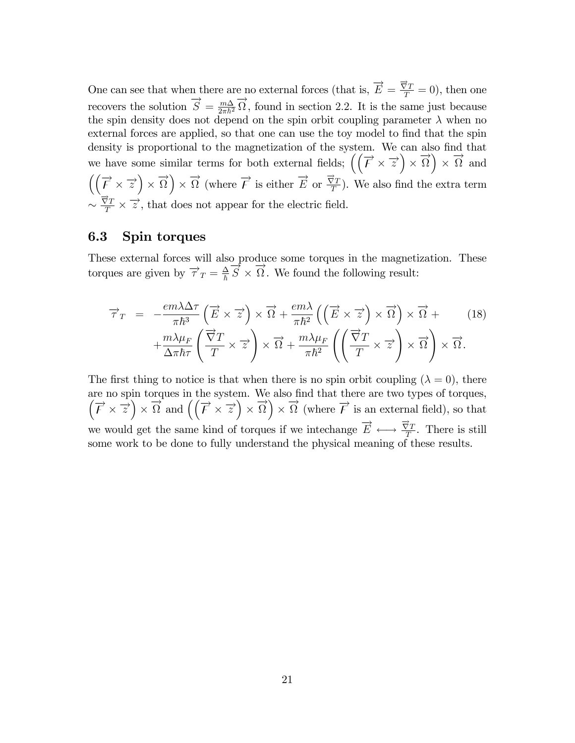One can see that when there are no external forces (that is,  $\vec{E} = \frac{\vec{\nabla}T}{T} = 0$ ), then one recovers the solution  $\overrightarrow{S} = \frac{m\Delta}{2\pi\hbar^2}$  $\frac{m\Delta}{2\pi\hbar^2}\overrightarrow{\Omega}$ , found in section 2.2. It is the same just because the spin density does not depend on the spin orbit coupling parameter  $\lambda$  when no external forces are applied, so that one can use the toy model to find that the spin density is proportional to the magnetization of the system. We can also find that we have some similar terms for both external fields;  $(\left(\vec{F} \times \vec{z}\right))$  $\times \overrightarrow{\Omega}$  $\times \overrightarrow{\Omega}$  and  $\left(\left(\overrightarrow{F} \times \overrightarrow{z}\right) \right)$  $\times \overrightarrow{\Omega}$  $\times \overrightarrow{\Omega}$  (where  $\overrightarrow{F}$  is either  $\overrightarrow{E}$  or  $\frac{\overrightarrow{\nabla}T}{T}$ ). We also find the extra term  $\sim \frac{\vec{\nabla}T}{T} \times \vec{z}$ , that does not appear for the electric field.

#### 6.3 Spin torques

These external forces will also produce some torques in the magnetization. These torques are given by  $\overrightarrow{\tau}_T = \frac{\Delta}{\hbar}$  $\frac{\Delta}{\hbar} \overrightarrow{S} \times \overrightarrow{\Omega}$ . We found the following result:

$$
\overrightarrow{\tau}_{T} = -\frac{em\lambda\Delta\tau}{\pi\hbar^{3}} \left( \overrightarrow{E} \times \overrightarrow{z} \right) \times \overrightarrow{\Omega} + \frac{em\lambda}{\pi\hbar^{2}} \left( \left( \overrightarrow{E} \times \overrightarrow{z} \right) \times \overrightarrow{\Omega} \right) \times \overrightarrow{\Omega} + \frac{m\lambda\mu_{F}}{\Delta\pi\hbar\tau} \left( \frac{\overrightarrow{\nabla}T}{T} \times \overrightarrow{z} \right) \times \overrightarrow{\Omega} + \frac{m\lambda\mu_{F}}{\pi\hbar^{2}} \left( \left( \frac{\overrightarrow{\nabla}T}{T} \times \overrightarrow{z} \right) \times \overrightarrow{\Omega} \right) \times \overrightarrow{\Omega}.
$$
 (18)

The first thing to notice is that when there is no spin orbit coupling  $(\lambda = 0)$ , there are no spin torques in the system. We also find that there are two types of torques,  $(\vec{F} \times \vec{z})$  $\times \overrightarrow{\Omega}$  and  $(\overrightarrow{F} \times \overrightarrow{z})$  $\times \overrightarrow{\Omega}$  $\times \overrightarrow{\Omega}$  (where  $\overrightarrow{F}$  is an external field), so that we would get the same kind of torques if we intechange  $\overrightarrow{E} \longleftrightarrow \frac{\overrightarrow{\nabla}T}{T}$ . There is still some work to be done to fully understand the physical meaning of these results.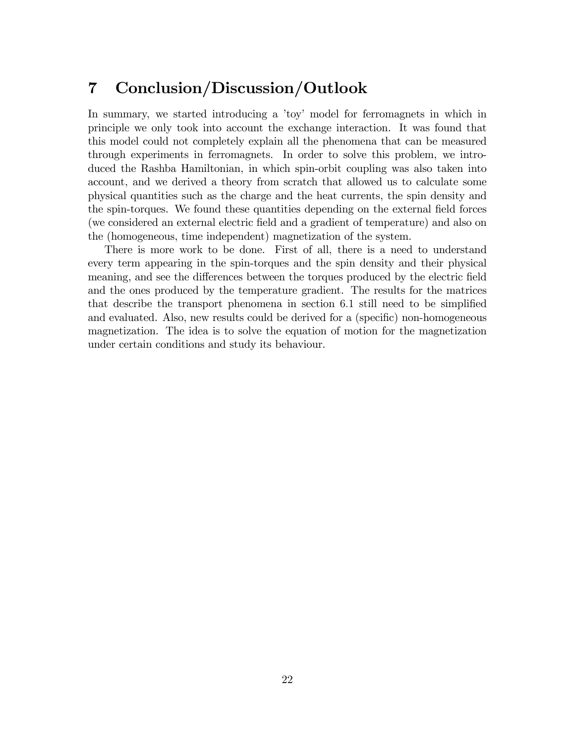# 7 Conclusion/Discussion/Outlook

In summary, we started introducing a 'toy' model for ferromagnets in which in principle we only took into account the exchange interaction. It was found that this model could not completely explain all the phenomena that can be measured through experiments in ferromagnets. In order to solve this problem, we introduced the Rashba Hamiltonian, in which spin-orbit coupling was also taken into account, and we derived a theory from scratch that allowed us to calculate some physical quantities such as the charge and the heat currents, the spin density and the spin-torques. We found these quantities depending on the external field forces (we considered an external electric Öeld and a gradient of temperature) and also on the (homogeneous, time independent) magnetization of the system.

There is more work to be done. First of all, there is a need to understand every term appearing in the spin-torques and the spin density and their physical meaning, and see the differences between the torques produced by the electric field and the ones produced by the temperature gradient. The results for the matrices that describe the transport phenomena in section 6.1 still need to be simplified and evaluated. Also, new results could be derived for a (specific) non-homogeneous magnetization. The idea is to solve the equation of motion for the magnetization under certain conditions and study its behaviour.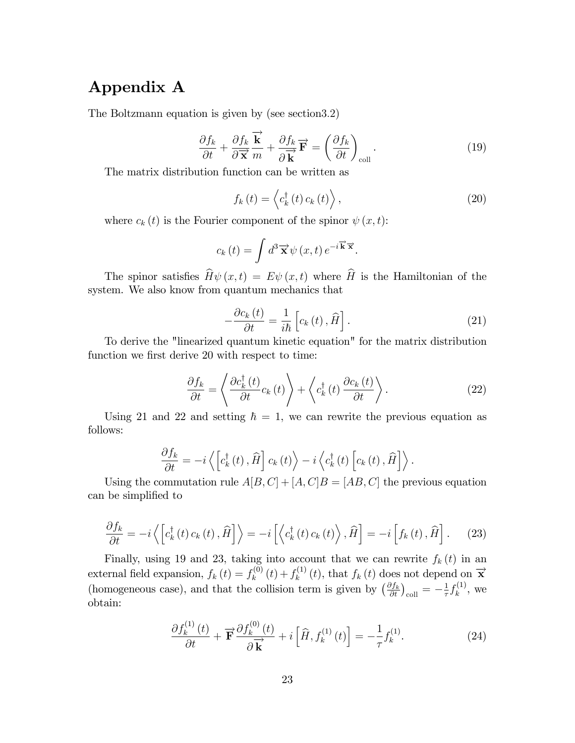# Appendix A

The Boltzmann equation is given by (see section3:2)

$$
\frac{\partial f_k}{\partial t} + \frac{\partial f_k}{\partial \overrightarrow{\mathbf{x}}} \frac{\overrightarrow{\mathbf{k}}}{m} + \frac{\partial f_k}{\partial \overrightarrow{\mathbf{k}}} \overrightarrow{\mathbf{F}} = \left(\frac{\partial f_k}{\partial t}\right)_{\text{coll}}.
$$
\n(19)

The matrix distribution function can be written as

$$
f_{k}(t) = \left\langle c_{k}^{\dagger}(t) c_{k}(t) \right\rangle, \qquad (20)
$$

where  $c_k(t)$  is the Fourier component of the spinor  $\psi(x, t)$ :

$$
c_k(t) = \int d^3 \vec{\mathbf{x}} \psi(x, t) e^{-i \vec{\mathbf{k}} \cdot \vec{\mathbf{x}}}.
$$

The spinor satisfies  $\widehat{H}\psi(x,t) = E\psi(x,t)$  where  $\widehat{H}$  is the Hamiltonian of the system. We also know from quantum mechanics that

$$
-\frac{\partial c_k(t)}{\partial t} = \frac{1}{i\hbar} \left[ c_k(t), \hat{H} \right]. \tag{21}
$$

To derive the "linearized quantum kinetic equation" for the matrix distribution function we first derive 20 with respect to time:

$$
\frac{\partial f_k}{\partial t} = \left\langle \frac{\partial c_k^{\dagger}(t)}{\partial t} c_k(t) \right\rangle + \left\langle c_k^{\dagger}(t) \frac{\partial c_k(t)}{\partial t} \right\rangle.
$$
 (22)

Using 21 and 22 and setting  $\hbar = 1$ , we can rewrite the previous equation as follows:

$$
\frac{\partial f_{k}}{\partial t} = -i \left\langle \left[c_{k}^{\dagger}\left(t\right), \widehat{H}\right] c_{k}\left(t\right)\right\rangle - i \left\langle c_{k}^{\dagger}\left(t\right)\left[c_{k}\left(t\right), \widehat{H}\right]\right\rangle.
$$

Using the commutation rule  $A[B, C] + [A, C]B = [AB, C]$  the previous equation can be simplified to

$$
\frac{\partial f_k}{\partial t} = -i \left\langle \left[ c_k^{\dagger}(t) c_k(t), \widehat{H} \right] \right\rangle = -i \left[ \left\langle c_k^{\dagger}(t) c_k(t) \right\rangle, \widehat{H} \right] = -i \left[ f_k(t), \widehat{H} \right]. \tag{23}
$$

Finally, using 19 and 23, taking into account that we can rewrite  $f_k(t)$  in an external field expansion,  $f_k(t) = f_k^{(0)}$  $f_k^{(0)}(t) + f_k^{(1)}$  $f_k^{(1)}(t)$ , that  $f_k(t)$  does not depend on  $\overrightarrow{\mathbf{x}}$ (homogeneous case), and that the collision term is given by  $\left(\frac{\partial f_k}{\partial t}\right)_{\text{coll}} = -\frac{1}{\tau}$  $\frac{1}{\tau} f_k^{(1)}$  $\mathbf{w}_k^{(1)}$ , we obtain:

$$
\frac{\partial f_k^{(1)}(t)}{\partial t} + \overrightarrow{\mathbf{F}} \frac{\partial f_k^{(0)}(t)}{\partial \overrightarrow{\mathbf{k}}} + i \left[ \widehat{H}, f_k^{(1)}(t) \right] = -\frac{1}{\tau} f_k^{(1)}.
$$
 (24)